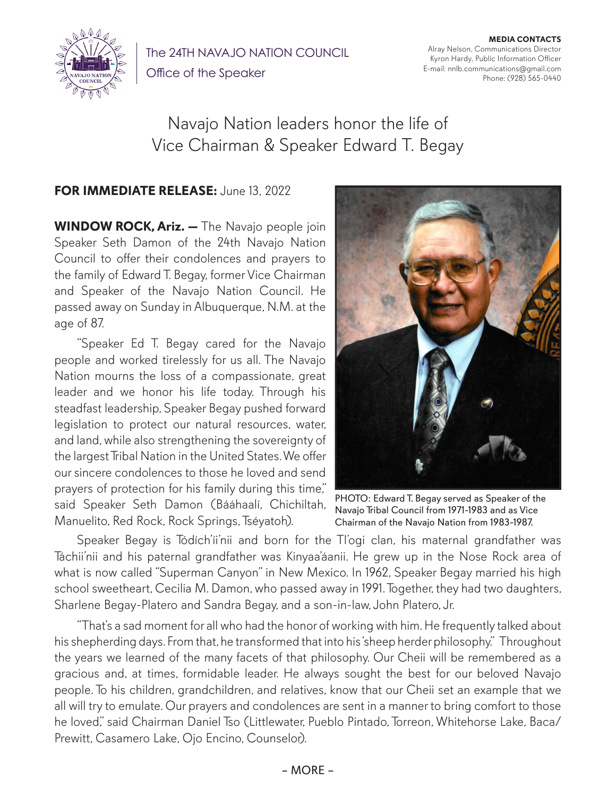

The 24TH NAVAJO NATION COUNCIL

Office of the Speaker

**MEDIA CONTACTS** Alray Nelson, Communications Director Kyron Hardy, Public Information Officer E-mail: nnlb.communications@gmail.com Phone: (928) 565-0440

## Navajo Nation leaders honor the life of Vice Chairman & Speaker Edward T. Begay

## **FOR IMMEDIATE RELEASE:** June 13, 2022

**WINDOW ROCK, Ariz. —** The Navajo people join Speaker Seth Damon of the 24th Navajo Nation Council to offer their condolences and prayers to the family of Edward T. Begay, former Vice Chairman and Speaker of the Navajo Nation Council. He passed away on Sunday in Albuquerque, N.M. at the age of 87.

"Speaker Ed T. Begay cared for the Navajo people and worked tirelessly for us all. The Navajo Nation mourns the loss of a compassionate, great leader and we honor his life today. Through his steadfast leadership, Speaker Begay pushed forward legislation to protect our natural resources, water, and land, while also strengthening the sovereignty of the largest Tribal Nation in the United States. We offer our sincere condolences to those he loved and send prayers of protection for his family during this time," said Speaker Seth Damon (Bááhaalí, Chichiltah, Manuelito, Red Rock, Rock Springs, Tséyatoh).



PHOTO: Edward T. Begay served as Speaker of the Navajo Tribal Council from 1971-1983 and as Vice Chairman of the Navajo Nation from 1983-1987.

Speaker Begay is Tódích'íi'nii and born for the Tl'ogi clan, his maternal grandfather was Táchii'nii and his paternal grandfather was Kinyaa'áanii. He grew up in the Nose Rock area of what is now called "Superman Canyon" in New Mexico. In 1962, Speaker Begay married his high school sweetheart, Cecilia M. Damon, who passed away in 1991. Together, they had two daughters, Sharlene Begay-Platero and Sandra Begay, and a son-in-law, John Platero, Jr.

"That's a sad moment for all who had the honor of working with him. He frequently talked about his shepherding days. From that, he transformed that into his 'sheep herder philosophy." Throughout the years we learned of the many facets of that philosophy. Our Cheii will be remembered as a gracious and, at times, formidable leader. He always sought the best for our beloved Navajo people. To his children, grandchildren, and relatives, know that our Cheii set an example that we all will try to emulate. Our prayers and condolences are sent in a manner to bring comfort to those he loved" said Chairman Daniel Tso (Littlewater, Pueblo Pintado, Torreon, Whitehorse Lake, Baca/ Prewitt, Casamero Lake, Ojo Encino, Counselor).